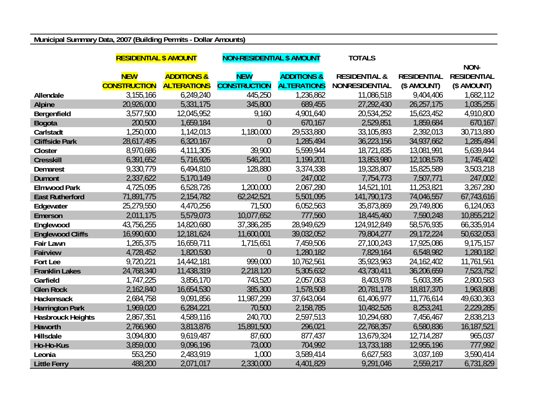## **Municipal Summary Data, 2007 (Building Permits - Dollar Amounts)**

|                          | <b>RESIDENTIAL \$ AMOUNT</b> |                        | <b>NON-RESIDENTIAL \$ AMOUNT</b> |                        | <b>TOTALS</b>            |                    |                    |  |
|--------------------------|------------------------------|------------------------|----------------------------------|------------------------|--------------------------|--------------------|--------------------|--|
|                          |                              |                        |                                  |                        |                          |                    | NON-               |  |
|                          | <b>NEW</b>                   | <b>ADDITIONS &amp;</b> | <b>NEW</b>                       | <b>ADDITIONS &amp;</b> | <b>RESIDENTIAL &amp;</b> | <b>RESIDENTIAL</b> | <b>RESIDENTIAL</b> |  |
|                          | <b>CONSTRUCTION</b>          | <b>ALTERATIONS</b>     | <b>CONSTRUCTION</b>              | <b>ALTERATIONS</b>     | <b>NONRESIDENTIAL</b>    | (\$ AMOUNT)        | (\$ AMOUNT)        |  |
| Allendale                | 3,155,166                    | 6,249,240              | 445,250                          | 1,236,862              | 11,086,518               | 9,404,406          | 1,682,112          |  |
| <b>Alpine</b>            | 20,926,000                   | 5,331,175              | 345,800                          | 689,455                | 27,292,430               | 26,257,175         | 1,035,255          |  |
| Bergenfield              | 3,577,500                    | 12,045,952             | 9,160                            | 4,901,640              | 20,534,252               | 15,623,452         | 4,910,800          |  |
| <b>Bogota</b>            | 200,500                      | 1,659,184              | $\overline{0}$                   | 670,167                | 2,529,851                | 1,859,684          | 670,167            |  |
| Carlstadt                | 1,250,000                    | 1,142,013              | 1,180,000                        | 29,533,880             | 33,105,893               | 2,392,013          | 30,713,880         |  |
| <b>Cliffside Park</b>    | 28,617,495                   | 6,320,167              | $\overline{0}$                   | 1,285,494              | 36,223,156               | 34,937,662         | 1,285,494          |  |
| Closter                  | 8,970,686                    | 4,111,305              | 39,900                           | 5,599,944              | 18,721,835               | 13,081,991         | 5,639,844          |  |
| <b>Cresskill</b>         | 6,391,652                    | 5,716,926              | 546,201                          | 1,199,201              | 13,853,980               | 12,108,578         | 1,745,402          |  |
| <b>Demarest</b>          | 9,330,779                    | 6,494,810              | 128,880                          | 3,374,338              | 19,328,807               | 15,825,589         | 3,503,218          |  |
| <b>Dumont</b>            | 2,337,622                    | 5,170,149              | $\overline{0}$                   | 247,002                | 7,754,773                | 7,507,771          | 247,002            |  |
| <b>Elmwood Park</b>      | 4,725,095                    | 6,528,726              | 1,200,000                        | 2,067,280              | 14,521,101               | 11,253,821         | 3,267,280          |  |
| <b>East Rutherford</b>   | 71,891,775                   | 2,154,782              | 62,242,521                       | 5,501,095              | 141,790,173              | 74,046,557         | 67,743,616         |  |
| Edgewater                | 25,279,550                   | 4,470,256              | 71,500                           | 6,052,563              | 35,873,869               | 29,749,806         | 6,124,063          |  |
| Emerson                  | 2,011,175                    | 5,579,073              | 10,077,652                       | 777,560                | 18,445,460               | 7,590,248          | 10,855,212         |  |
| Englewood                | 43,756,255                   | 14,820,680             | 37,386,285                       | 28,949,629             | 124,912,849              | 58,576,935         | 66,335,914         |  |
| <b>Englewood Cliffs</b>  | 16,990,600                   | 12,181,624             | 11,600,001                       | 39,032,052             | 79,804,277               | 29,172,224         | 50,632,053         |  |
| <b>Fair Lawn</b>         | 1,265,375                    | 16,659,711             | 1,715,651                        | 7,459,506              | 27,100,243               | 17,925,086         | 9,175,157          |  |
| <b>Fairview</b>          | 4,728,452                    | 1,820,530              | $\overline{0}$                   | 1,280,182              | 7,829,164                | 6,548,982          | 1,280,182          |  |
| Fort Lee                 | 9,720,221                    | 14,442,181             | 999,000                          | 10,762,561             | 35,923,963               | 24, 162, 402       | 11,761,561         |  |
| <b>Franklin Lakes</b>    | 24,768,340                   | 11,438,319             | 2,218,120                        | 5,305,632              | 43,730,411               | 36,206,659         | 7,523,752          |  |
| Garfield                 | 1,747,225                    | 3,856,170              | 743,520                          | 2,057,063              | 8,403,978                | 5,603,395          | 2,800,583          |  |
| <b>Glen Rock</b>         | 2,162,840                    | 16,654,530             | 385,300                          | 1,578,508              | 20,781,178               | 18,817,370         | 1,963,808          |  |
| Hackensack               | 2,684,758                    | 9,091,856              | 11,987,299                       | 37,643,064             | 61,406,977               | 11,776,614         | 49,630,363         |  |
| <b>Harrington Park</b>   | 1,969,020                    | 6,284,221              | 70,500                           | 2,158,785              | 10,482,526               | 8,253,241          | 2,229,285          |  |
| <b>Hasbrouck Heights</b> | 2,867,351                    | 4,589,116              | 240,700                          | 2,597,513              | 10,294,680               | 7,456,467          | 2,838,213          |  |
| Haworth                  | 2,766,960                    | 3,813,876              | 15,891,500                       | 296,021                | 22,768,357               | 6,580,836          | 16,187,521         |  |
| Hillsdale                | 3,094,800                    | 9,619,487              | 87,600                           | 877,437                | 13,679,324               | 12,714,287         | 965,037            |  |
| Ho-Ho-Kus                | 3,859,000                    | 9,096,196              | 73,000                           | 704,992                | 13,733,188               | 12,955,196         | 777,992            |  |
| Leonia                   | 553,250                      | 2,483,919              | 1,000                            | 3,589,414              | 6,627,583                | 3,037,169          | 3,590,414          |  |
| <b>Little Ferry</b>      | 488,200                      | 2,071,017              | 2,330,000                        | 4,401,829              | 9,291,046                | 2,559,217          | 6,731,829          |  |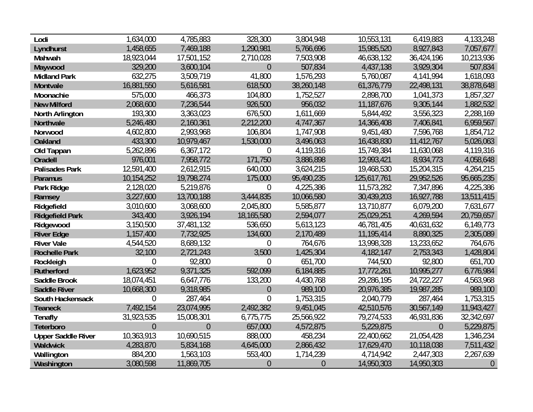| Lodi                      | 1,634,000      | 4,785,883      | 328,300          | 3,804,948      | 10,553,131  | 6,419,883      | 4,133,248      |
|---------------------------|----------------|----------------|------------------|----------------|-------------|----------------|----------------|
| Lyndhurst                 | 1,458,655      | 7,469,188      | 1,290,981        | 5,766,696      | 15,985,520  | 8,927,843      | 7,057,677      |
| Mahwah                    | 18,923,044     | 17,501,152     | 2,710,028        | 7,503,908      | 46,638,132  | 36,424,196     | 10,213,936     |
| Maywood                   | 329,200        | 3,600,104      | $\overline{0}$   | 507,834        | 4,437,138   | 3,929,304      | 507,834        |
| <b>Midland Park</b>       | 632,275        | 3,509,719      | 41,800           | 1,576,293      | 5,760,087   | 4,141,994      | 1,618,093      |
| Montvale                  | 16,881,550     | 5,616,581      | 618,500          | 38,260,148     | 61,376,779  | 22,498,131     | 38,878,648     |
| Moonachie                 | 575,000        | 466,373        | 104,800          | 1,752,527      | 2,898,700   | 1,041,373      | 1,857,327      |
| <b>New Milford</b>        | 2,068,600      | 7,236,544      | 926,500          | 956,032        | 11,187,676  | 9,305,144      | 1,882,532      |
| North Arlington           | 193,300        | 3,363,023      | 676,500          | 1,611,669      | 5,844,492   | 3,556,323      | 2,288,169      |
| <b>Northvale</b>          | 5,246,480      | 2,160,361      | 2,212,200        | 4,747,367      | 14,366,408  | 7,406,841      | 6,959,567      |
| Norwood                   | 4,602,800      | 2,993,968      | 106,804          | 1,747,908      | 9,451,480   | 7,596,768      | 1,854,712      |
| <b>Oakland</b>            | 433,300        | 10,979,467     | 1,530,000        | 3,496,063      | 16,438,830  | 11,412,767     | 5,026,063      |
| Old Tappan                | 5,262,896      | 6,367,172      | $\boldsymbol{0}$ | 4,119,316      | 15,749,384  | 11,630,068     | 4,119,316      |
| <b>Oradell</b>            | 976,001        | 7,958,772      | 171,750          | 3,886,898      | 12,993,421  | 8,934,773      | 4,058,648      |
| <b>Palisades Park</b>     | 12,591,400     | 2,612,915      | 640,000          | 3,624,215      | 19,468,530  | 15,204,315     | 4,264,215      |
| <b>Paramus</b>            | 10,154,252     | 19,798,274     | 175,000          | 95,490,235     | 125,617,761 | 29,952,526     | 95,665,235     |
| Park Ridge                | 2,128,020      | 5,219,876      | 0                | 4,225,386      | 11,573,282  | 7,347,896      | 4,225,386      |
| Ramsey                    | 3,227,600      | 13,700,188     | 3,444,835        | 10,066,580     | 30,439,203  | 16,927,788     | 13,511,415     |
| Ridgefield                | 3,010,600      | 3,068,600      | 2,045,800        | 5,585,877      | 13,710,877  | 6,079,200      | 7,631,677      |
| <b>Ridgefield Park</b>    | 343,400        | 3,926,194      | 18,165,580       | 2,594,077      | 25,029,251  | 4,269,594      | 20,759,657     |
| Ridgewood                 | 3,150,500      | 37,481,132     | 536,650          | 5,613,123      | 46,781,405  | 40,631,632     | 6,149,773      |
| <b>River Edge</b>         | 1,157,400      | 7,732,925      | 134,600          | 2,170,489      | 11,195,414  | 8,890,325      | 2,305,089      |
| <b>River Vale</b>         | 4,544,520      | 8,689,132      | $\boldsymbol{0}$ | 764,676        | 13,998,328  | 13,233,652     | 764,676        |
| <b>Rochelle Park</b>      | 32,100         | 2,721,243      | 3,500            | 1,425,304      | 4,182,147   | 2,753,343      | 1,428,804      |
| Rockleigh                 | $\overline{0}$ | 92,800         | $\theta$         | 651,700        | 744,500     | 92,800         | 651,700        |
| <b>Rutherford</b>         | 1,623,952      | 9,371,325      | 592,099          | 6,184,885      | 17,772,261  | 10,995,277     | 6,776,984      |
| <b>Saddle Brook</b>       | 18,074,451     | 6,647,776      | 133,200          | 4,430,768      | 29,286,195  | 24,722,227     | 4,563,968      |
| <b>Saddle River</b>       | 10,668,300     | 9,318,985      | $\theta$         | 989,100        | 20,976,385  | 19,987,285     | 989,100        |
| South Hackensack          | $\overline{0}$ | 287,464        | $\overline{0}$   | 1,753,315      | 2,040,779   | 287,464        | 1,753,315      |
| <b>Teaneck</b>            | 7,492,154      | 23,074,995     | 2,492,382        | 9,451,045      | 42,510,576  | 30,567,149     | 11,943,427     |
| <b>Tenafly</b>            | 31,923,535     | 15,008,301     | 6,775,775        | 25,566,922     | 79,274,533  | 46,931,836     | 32,342,697     |
| Teterboro                 | $\overline{0}$ | $\overline{0}$ | 657,000          | 4,572,875      | 5,229,875   | $\overline{0}$ | 5,229,875      |
| <b>Upper Saddle River</b> | 10,363,913     | 10,690,515     | 888,000          | 458,234        | 22,400,662  | 21,054,428     | 1,346,234      |
| Waldwick                  | 4,283,870      | 5,834,168      | 4,645,000        | 2,866,432      | 17,629,470  | 10,118,038     | 7,511,432      |
| Wallington                | 884,200        | 1,563,103      | 553,400          | 1,714,239      | 4,714,942   | 2,447,303      | 2,267,639      |
| Washington                | 3,080,598      | 11,869,705     | $\theta$         | $\overline{0}$ | 14,950,303  | 14,950,303     | $\overline{0}$ |